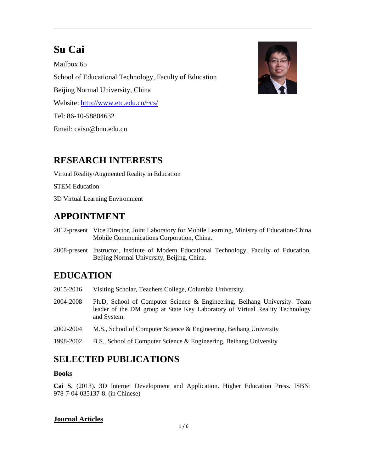# **Su Cai**

Mailbox 65 School of Educational Technology, Faculty of Education Beijing Normal University, China Website:<http://www.etc.edu.cn/~cs/> Tel: 86-10-58804632 Email: caisu@bnu.edu.cn



### **RESEARCH INTERESTS**

Virtual Reality/Augmented Reality in Education

STEM Education

3D Virtual Learning Environment

### **APPOINTMENT**

- 2012-present Vice Director, Joint Laboratory for Mobile Learning, Ministry of Education-China Mobile Communications Corporation, China.
- 2008-present Instructor, Institute of Modern Educational Technology, Faculty of Education, Beijing Normal University, Beijing, China.

## **EDUCATION**

- 2015-2016 Visiting Scholar, Teachers College, Columbia University.
- 2004-2008 Ph.D, School of Computer Science & Engineering, Beihang University. Team leader of the DM group at State Key Laboratory of Virtual Reality Technology and System.
- 2002-2004 M.S., School of Computer Science & Engineering, Beihang University
- 1998-2002 B.S., School of Computer Science & Engineering, Beihang University

### **SELECTED PUBLICATIONS**

#### **Books**

**Cai S.** (2013). 3D Internet Development and Application. Higher Education Press. ISBN: 978-7-04-035137-8. (in Chinese)

#### **Journal Articles**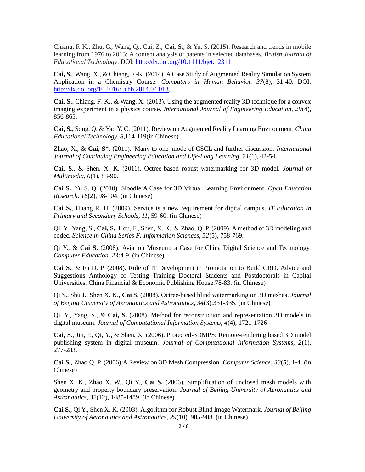Chiang, F. K., Zhu, G., Wang, Q., Cui, Z., **Cai, S.**, & Yu, S. (2015). Research and trends in mobile learning from 1976 to 2013: A content analysis of patents in selected databases. *British Journal of Educational Technology*. DOI:<http://dx.doi.org/10.1111/bjet.12311>

**Cai, S.**, Wang, X., & Chiang, F.-K. (2014). A Case Study of Augmented Reality Simulation System Application in a Chemistry Course. *Computers in Human Behavior. 37*(8), 31-40. DOI: [http://dx.doi.org/10.1016/j.chb.2014.04.018.](http://dx.doi.org/10.1016/j.chb.2014.04.018)

**Cai, S.**, Chiang, F.-K., & Wang, X. (2013). Using the augmented reality 3D technique for a convex imaging experiment in a physics course. *International Journal of Engineering Education, 29*(4), 856-865.

**Cai, S.**, Song, Q, & Yao Y. C. (2011). Review on Augmented Reality Learning Environment. *China Educational Technology, 8*,114-119(in Chinese)

Zhao, X., & **Cai, S**\*. (2011). 'Many to one' mode of CSCL and further discussion. *International Journal of Continuing Engineering Education and Life-Long Learning, 21*(1), 42-54.

**Cai, S.**, & Shen, X. K. (2011). Octree-based robust watermarking for 3D model. *Journal of Multimedia, 6*(1), 83-90.

**Cai S.**, Yu S. Q. (2010). Sloodle:A Case for 3D Virtual Learning Environment. *Open Education Research. 16*(2), 98-104. (in Chinese)

**Cai S.**, Huang R. H. (2009). Service is a new requirement for digital campus. *IT Education in Primary and Secondary Schools, 11*, 59-60. (in Chinese)

Qi, Y., Yang, S., **Cai, S.**, Hou, F., Shen, X. K., & Zhao, Q. P. (2009). A method of 3D modeling and codec. *Science in China Series F: Information Sciences, 52*(5), 758-769.

Qi Y., & **Cai S.** (2008). Aviation Museum: a Case for China Digital Science and Technology. *Computer Education. 23*:4-9. (in Chinese)

**Cai S.**, & Fu D. P. (2008). Role of IT Development in Promotation to Build CRD. Advice and Suggestions Anthology of Testing Training Doctoral Students and Postdoctorals in Capital Universities. China Financial & Economic Publishing House.78-83. (in Chinese)

Qi Y., Shu J., Shen X. K., **Cai S.** (2008). Octree-based blind watermarking on 3D meshes. *Journal of Beijing University of Aeronautics and Astronautics, 34*(3):331-335. (in Chinese)

Qi, Y., Yang, S., & **Cai, S.** (2008). Method for reconstruction and representation 3D models in digital museum. *Journal of Computational Information Systems, 4*(4), 1721-1726

**Cai, S.**, Jin, P., Qi, Y., & Shen, X. (2006). Protected-3DMPS: Remote-rendering based 3D model publishing system in digital museum. *Journal of Computational Information Systems, 2*(1), 277-283.

**Cai S.**, Zhao Q. P. (2006) A Review on 3D Mesh Compression. *Computer Science, 33*(5), 1-4. (in Chinese)

Shen X. K., Zhao X. W., Qi Y., **Cai S.** (2006). Simplification of unclosed mesh models with geometry and property boundary preservation. *Journal of Beijing University of Aeronautics and Astronautics, 32*(12), 1485-1489. (in Chinese)

**Cai S.**, Qi Y., Shen X. K. (2003). Algorithm for Robust Blind Image Watermark. *Journal of Beijing University of Aeronautics and Astronautics, 29*(10), 905-908. (in Chinese).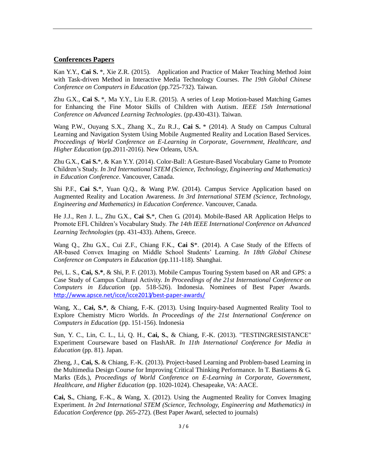#### **Conferences Papers**

Kan Y.Y., **Cai S.** \*, Xie Z.R. (2015). Application and Practice of Maker Teaching Method Joint with Task-driven Method in Interactive Media Technology Courses. *The 19th Global Chinese Conference on Computers in Education* (pp.725-732). Taiwan.

Zhu G.X., **Cai S.** \*, Ma Y.Y., Liu E.R. (2015). A series of Leap Motion-based Matching Games for Enhancing the Fine Motor Skills of Children with Autism. *IEEE 15th International Conference on Advanced Learning Technologies*. (pp.430-431). Taiwan.

Wang P.W., Ouyang S.X., Zhang X., Zu R.J., **Cai S.** \* (2014). A Study on Campus Cultural Learning and Navigation System Using Mobile Augmented Reality and Location Based Services. *Proceedings of World Conference on E-Learning in Corporate, Government, Healthcare, and Higher Education* (pp.2011-2016). New Orleans, USA.

Zhu G.X., **Cai S.**\*, & Kan Y.Y. (2014). Color-Ball: A Gesture-Based Vocabulary Game to Promote Children's Study. *In 3rd International STEM (Science, Technology, Engineering and Mathematics) in Education Conference*. Vancouver, Canada.

Shi P.F., **Cai S.**\*, Yuan Q.Q., & Wang P.W. (2014). Campus Service Application based on Augmented Reality and Location Awareness. *In 3rd International STEM (Science, Technology, Engineering and Mathematics) in Education Conference*. Vancouver, Canada.

He J.J., Ren J. L., Zhu G.X., Cai S.\*, Chen G. (2014). Mobile-Based AR Application Helps to Promote EFL Children's Vocabulary Study. *The 14th IEEE International Conference on Advanced Learning Technologies* (pp.431-433). Athens, Greece.

Wang Q., Zhu G.X., Cui Z.F., Chiang F.K., **Cai S**\*. (2014). A Case Study of the Effects of AR-based Convex Imaging on Middle School Students' Learning. *In 18th Global Chinese Conference on Computers in Education* (pp.111-118). Shanghai.

Pei, L. S., **Cai, S.\***, & Shi, P. F. (2013). Mobile Campus Touring System based on AR and GPS: a Case Study of Campus Cultural Activity. *In Proceedings of the 21st International Conference on Computers in Education* (pp. 518-526). Indonesia. Nominees of Best Paper Awards. <http://www.apsce.net/icce/icce2013/best-paper-awards/>

Wang, X., **Cai, S.\***, & Chiang, F.-K. (2013). Using Inquiry-based Augmented Reality Tool to Explore Chemistry Micro Worlds. *In Proceedings of the 21st International Conference on Computers in Education* (pp. 151-156). Indonesia

Sun, Y. C., Lin, C. L., Li, Q. H., **Cai, S.**, & Chiang, F.-K. (2013). "TESTINGRESISTANCE" Experiment Courseware based on FlashAR. *In 11th International Conference for Media in Education* (pp. 81). Japan.

Zheng, J., **Cai, S.** & Chiang, F.-K. (2013). Project-based Learning and Problem-based Learning in the Multimedia Design Course for Improving Critical Thinking Performance. In T. Bastiaens & G. Marks (Eds.), *Proceedings of World Conference on E-Learning in Corporate, Government, Healthcare, and Higher Education* (pp. 1020-1024). Chesapeake, VA: AACE.

**Cai, S.**, Chiang, F.-K., & Wang, X. (2012). Using the Augmented Reality for Convex Imaging Experiment. *In 2nd International STEM (Science, Technology, Engineering and Mathematics) in Education Conference* (pp. 265-272). (Best Paper Award, selected to journals)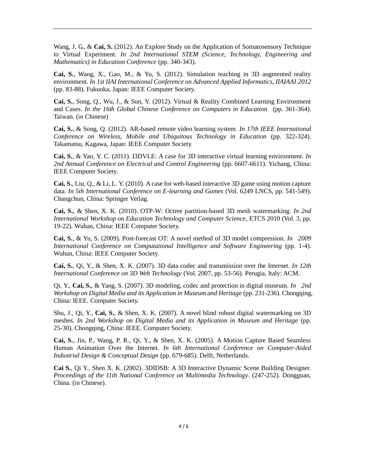Wang, J. G., & **Cai, S.** (2012). An Explore Study on the Application of Somatosensory Technique to Virtual Experiment. *In 2nd International STEM (Science, Technology, Engineering and Mathematics) in Education Conference* (pp. 340-343).

**Cai, S.**, Wang, X., Gao, M., & Yu, S. (2012). Simulation teaching in 3D augmented reality environment. *In 1st IIAI International Conference on Advanced Applied Informatics, IIAIAAI 2012* (pp. 83-88). Fukuoka, Japan: IEEE Computer Society.

**Cai, S.**, Song, Q., Wu, J., & Sun, Y. (2012). Virtual & Reality Combined Learning Environment and Cases. *In the 16th Global Chinese Conference on Computers in Education* (pp. 361-364). Taiwan. (in Chinese)

**Cai, S.**, & Song, Q. (2012). AR-based remote video learning system. *In 17th IEEE International Conference on Wireless, Mobile and Ubiquitous Technology in Education* (pp. 322-324). Takamatsu, Kagawa, Japan: IEEE Computer Society.

**Cai, S.**, & Yao, Y. C. (2011). I3DVLE: A case for 3D interactive virtual learning environment. *In 2nd Annual Conference on Electrical and Control Engineering* (pp. 6607-6611). Yichang, China: IEEE Computer Society.

**Cai, S.**, Liu, Q., & Li, L. Y. (2010). A case for web-based interactive 3D game using motion capture data. *In 5th International Conference on E-learning and Games* (Vol. 6249 LNCS, pp. 541-549). Changchun, China: Springer Verlag.

**Cai, S.**, & Shen, X. K. (2010). OTP-W: Octree partition-based 3D mesh watermarking. *In 2nd International Workshop on Education Technology and Computer Science*, ETCS 2010 (Vol. 3, pp. 19-22). Wuhan, China: IEEE Computer Society.

**Cai, S.**, & Yu, S. (2009). Post-forecast OT: A novel method of 3D model compression. *In 2009 International Conference on Computational Intelligence and Software Engineering* (pp. 1-4). Wuhan, China: IEEE Computer Society.

**Cai, S.**, Qi, Y., & Shen, X. K. (2007). 3D data codec and transmission over the Internet. *In 12th International Conference on 3D Web Technology* (Vol. 2007, pp. 53-56). Perugia, Italy: ACM.

Qi, Y., **Cai, S.**, & Yang, S. (2007). 3D modeling, codec and protection in digital museum. *In 2nd Workshop on Digital Media and its Application in Museum and Heritage* (pp. 231-236). Chongqing, China: IEEE. Computer Society.

Shu, J., Qi, Y., **Cai, S.**, & Shen, X. K. (2007). A novel blind robust digital watermarking on 3D meshes. *In 2nd Workshop on Digital Media and its Application in Museum and Heritage* (pp. 25-30). Chongqing, China: IEEE. Computer Society.

**Cai, S.**, Jin, P., Wang, P. R., Qi, Y., & Shen, X. K. (2005). A Motion Capture Based Seamless Human Animation Over the Internet. *In 6th International Conference on Computer-Aided Industrial Design & Conceptual Design* (pp. 679-685). Delft, Netherlands.

**Cai S.**, Qi Y., Shen X. K. (2002). 3DIDSB: A 3D Interactive Dynamic Scene Building Designer. *Proceedings of the 11th National Conference on Multimedia Technology*. (247-252). Dongguan, China. (in Chinese).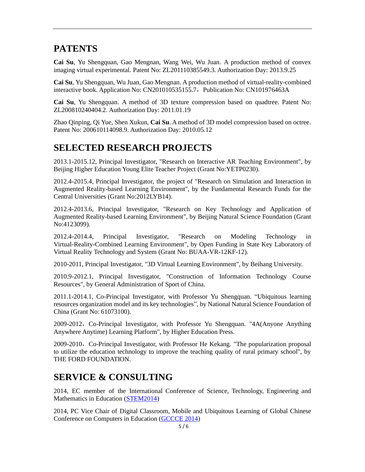### **PATENTS**

**Cai Su**, Yu Shengquan, Gao Mengnan, Wang Wei, Wu Juan. A production method of convex imaging virtual experimental. Patent No: ZL201110385549.3. Authorization Day: 2013.9.25

**Cai Su**, Yu Shengquan, Wu Juan, Gao Mengnan. A production method of virtual-reality-combined interactive book. Application No: CN201010535155.7, Publication No: CN101976463A

**Cai Su**, Yu Shengquan. A method of 3D texture compression based on quadtree. Patent No: ZL200810240404.2. Authorization Day: 2011.01.19

Zhao Qinping, Qi Yue, Shen Xukun, **Cai Su**. A method of 3D model compression based on octree. Patent No: 200610114098.9. Authorization Day: 2010.05.12

### **SELECTED RESEARCH PROJECTS**

2013.1-2015.12, Principal Investigator, "Research on Interactive AR Teaching Environment", by Beijing Higher Education Young Elite Teacher Project (Grant No:YETP0230).

2012.4-2015.4, Principal Investigator, the project of "Research on Simulation and Interaction in Augmented Reality-based Learning Environment", by the Fundamental Research Funds for the Central Universities (Grant No:2012LYB14).

2012.4-2013.6, Principal Investigator, "Research on Key Technology and Application of Augmented Reality-based Learning Environment", by Beijing Natural Science Foundation (Grant No:4123099).

2012.4-2014.4, Principal Investigator, "Research on Modeling Technology in Virtual-Reality-Combined Learning Environment", by Open Funding in State Key Laboratory of Virtual Reality Technology and System (Grant No: BUAA-VR-12KF-12).

2010-2011, Principal Investigator, "3D Virtual Learning Environment", by Beihang University.

2010.9-2012.1, Principal Investigator, "Construction of Information Technology Course Resources", by General Administration of Sport of China.

2011.1-2014.1, Co-Principal Investigator, with Professor Yu Shengquan. "Ubiquitous learning resources organization model and its key technologies", by National Natural Science Foundation of China (Grant No: 61073100).

2009-2012, Co-Principal Investigator, with Professor Yu Shengquan. "4A(Anyone Anything Anywhere Anytime) Learning Platform", by Higher Education Press.

2009-2010, Co-Principal Investigator, with Professor He Kekang. "The popularization proposal to utilize the education technology to improve the teaching quality of rural primary school", by THE FORD FOUNDATION.

### **SERVICE & CONSULTING**

2014, EC member of the International Conference of Science, Technology, Engineering and Mathematics in Education [\(STEM2014\)](http://stem2014.ubc.ca/conference-details/executive-committee/)

2014, PC Vice Chair of Digital Classroom, Mobile and Ubiquitous Learning of Global Chinese Conference on Computers in Education [\(GCCCE 2014\)](http://gccce2014.ecnu.edu.cn/112huiyizuzhi.html)